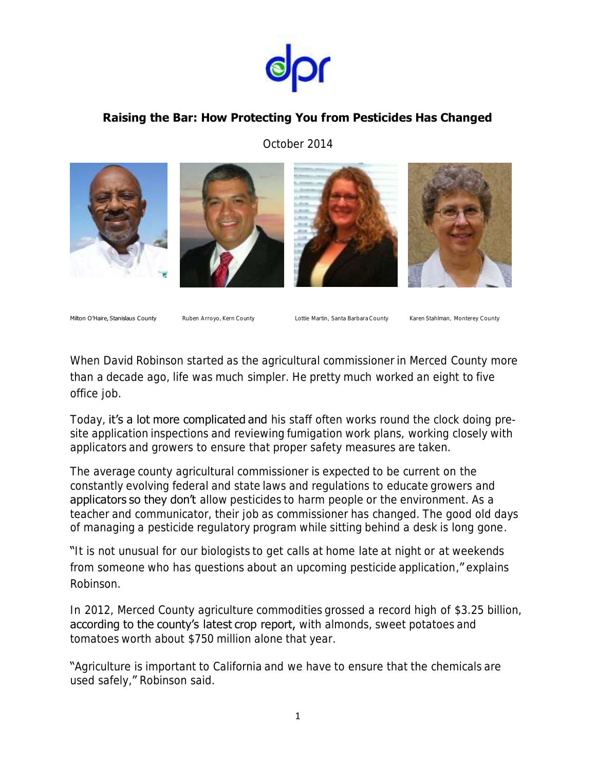

## **Raising the Bar: How Protecting You from Pesticides Has Changed**

October 2014









Milton O'Haire, Stanislaus County Ruben Arroyo, Kern County Lottie Martin, Santa Barbara County Karen Stahlman, Monterey County

When David Robinson started as the agricultural commissioner in Merced County more than a decade ago, life was much simpler. He pretty much worked an eight to five office job.

Today, it's a lot more complicated and his staff often works round the clock doing presite application inspections and reviewing fumigation work plans, working closely with applicators and growers to ensure that proper safety measures are taken.

The average county agricultural commissioner is expected to be current on the constantly evolving federal and state laws and regulations to educate growers and applicators so they don't allow pesticides to harm people or the environment. As a teacher and communicator, their job as commissioner has changed. The good old days of managing a pesticide regulatory program while sitting behind a desk is long gone .

"It is not unusual for our biologists to get calls at home late at night or at weekends from someone who has questions about an upcoming pesticide application," explains Robinson.

In 2012, Merced County agriculture commodities grossed a record high of \$3.25 billion, according to the county's latest crop report, with almonds, sweet potatoes and tomatoes worth about \$750 million alone that year.

"Agriculture is important to California and we have to ensure that the chemicals are used safely," Robinson said.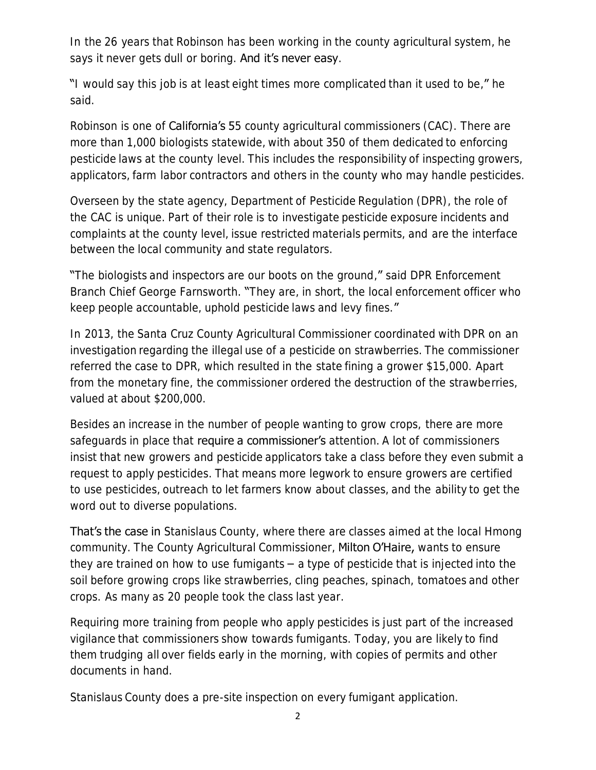In the 26 years that Robinson has been working in the county agricultural system, he says it never gets dull or boring. And it's never easy.

"I would say this job is at least eight times more complicated than it used to be," he said.

Robinson is one of **California's 5**5 county agricultural commissioners (CAC). There are more than 1,000 biologists statewide, with about 350 of them dedicated to enforcing pesticide laws at the county level. This includes the responsibility of inspecting growers, applicators, farm labor contractors and others in the county who may handle pesticides.

Overseen by the state agency, Department of Pesticide Regulation (DPR), the role of the CAC is unique. Part of their role is to investigate pesticide exposure incidents and complaints at the county level, issue restricted materials permits, and are the interface between the local community and state regulators.

"The biologists and inspectors are our boots on the ground," said DPR Enforcement Branch Chief George Farnsworth. "They are, in short, the local enforcement officer who keep people accountable, uphold pesticide laws and levy fines."

In 2013, the Santa Cruz County Agricultural Commissioner coordinated with DPR on an investigation regarding the illegal use of a pesticide on strawberries. The commissioner referred the case to DPR, which resulted in the state fining a grower \$15,000. Apart from the monetary fine, the commissioner ordered the destruction of the strawberries, valued at about \$200,000.

Besides an increase in the number of people wanting to grow crops, there are more safeguards in place that require a commissioner's attention. A lot of commissioners insist that new growers and pesticide applicators take a class before they even submit a request to apply pesticides. That means more legwork to ensure growers are certified to use pesticides, outreach to let farmers know about classes, and the ability to get the word out to diverse populations.

That's the case in Stanislaus County, where there are classes aimed at the local Hmong community. The County Agricultural Commissioner, Milton O'Haire, wants to ensure they are trained on how to use fumigants  $-$  a type of pesticide that is injected into the soil before growing crops like strawberries, cling peaches, spinach, tomatoes and other crops. As many as 20 people took the class last year.

Requiring more training from people who apply pesticides is just part of the increased vigilance that commissioners show towards fumigants. Today, you are likely to find them trudging all over fields early in the morning, with copies of permits and other documents in hand.

Stanislaus County does a pre-site inspection on every fumigant application.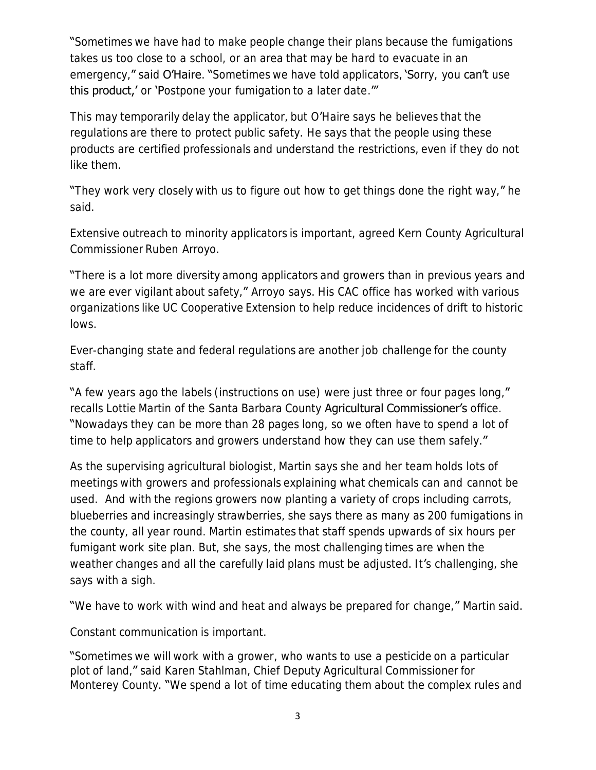"Sometimes we have had to make people change their plans because the fumigations takes us too close to a school, or an area that may be hard to evacuate in an emergency," said O'Haire. "Sometimes we have told applicators, 'Sorry, you can't use this product,' or 'Postpone your fumigation to a later date.""

This may temporarily delay the applicator, but O'Haire says he believes that the regulations are there to protect public safety. He says that the people using these products are certified professionals and understand the restrictions, even if they do not like them.

"They work very closely with us to figure out how to get things done the right way," he said.

Extensive outreach to minority applicators is important, agreed Kern County Agricultural Commissioner Ruben Arroyo.

"There is a lot more diversity among applicators and growers than in previous years and we are ever vigilant about safety," Arroyo says. His CAC office has worked with various organizations like UC Cooperative Extension to help reduce incidences of drift to historic lows.

Ever-changing state and federal regulations are another job challenge for the county staff.

"A few years ago the labels (instructions on use) were just three or four pages long," recalls Lottie Martin of the Santa Barbara County Agricultural Commissioner's office. "Nowadays they can be more than 28 pages long, so we often have to spend a lot of time to help applicators and growers understand how they can use them safely."

As the supervising agricultural biologist, Martin says she and her team holds lots of meetings with growers and professionals explaining what chemicals can and cannot be used. And with the regions growers now planting a variety of crops including carrots, blueberries and increasingly strawberries, she says there as many as 200 fumigations in the county, all year round. Martin estimates that staff spends upwards of six hours per fumigant work site plan. But, she says, the most challenging times are when the weather changes and all the carefully laid plans must be adjusted. It 's challenging, she says with a sigh.

"We have to work with wind and heat and always be prepared for change," Martin said.

Constant communication is important.

"Sometimes we will work with a grower, who wants to use a pesticide on a particular plot of land," said Karen Stahlman, Chief Deputy Agricultural Commissioner for Monterey County. "We spend a lot of time educating them about the complex rules and